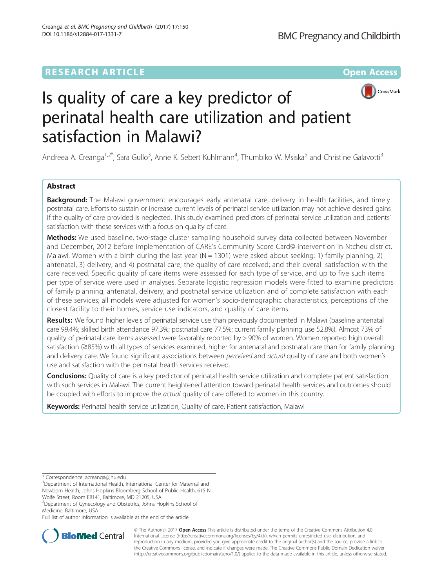# **RESEARCH ARTICLE External Structure Community Community Community Community Community Community Community Community**



# Is quality of care a key predictor of perinatal health care utilization and patient satisfaction in Malawi?

Andreea A. Creanga<sup>1,2\*</sup>, Sara Gullo<sup>3</sup>, Anne K. Sebert Kuhlmann<sup>4</sup>, Thumbiko W. Msiska<sup>5</sup> and Christine Galavotti<sup>3</sup>

# Abstract

**Background:** The Malawi government encourages early antenatal care, delivery in health facilities, and timely postnatal care. Efforts to sustain or increase current levels of perinatal service utilization may not achieve desired gains if the quality of care provided is neglected. This study examined predictors of perinatal service utilization and patients' satisfaction with these services with a focus on quality of care.

Methods: We used baseline, two-stage cluster sampling household survey data collected between November and December, 2012 before implementation of CARE's Community Score Card© intervention in Ntcheu district, Malawi. Women with a birth during the last year ( $N = 1301$ ) were asked about seeking: 1) family planning, 2) antenatal, 3) delivery, and 4) postnatal care; the quality of care received; and their overall satisfaction with the care received. Specific quality of care items were assessed for each type of service, and up to five such items per type of service were used in analyses. Separate logistic regression models were fitted to examine predictors of family planning, antenatal, delivery, and postnatal service utilization and of complete satisfaction with each of these services; all models were adjusted for women's socio-demographic characteristics, perceptions of the closest facility to their homes, service use indicators, and quality of care items.

Results: We found higher levels of perinatal service use than previously documented in Malawi (baseline antenatal care 99.4%; skilled birth attendance 97.3%; postnatal care 77.5%; current family planning use 52.8%). Almost 73% of quality of perinatal care items assessed were favorably reported by > 90% of women. Women reported high overall satisfaction (≥85%) with all types of services examined, higher for antenatal and postnatal care than for family planning and delivery care. We found significant associations between perceived and actual quality of care and both women's use and satisfaction with the perinatal health services received.

**Conclusions:** Quality of care is a key predictor of perinatal health service utilization and complete patient satisfaction with such services in Malawi. The current heightened attention toward perinatal health services and outcomes should be coupled with efforts to improve the actual quality of care offered to women in this country.

Keywords: Perinatal health service utilization, Quality of care, Patient satisfaction, Malawi

\* Correspondence: [acreanga@jhu.edu](mailto:acreanga@jhu.edu) <sup>1</sup>

<sup>1</sup>Department of International Health, International Center for Maternal and Newborn Health, Johns Hopkins Bloomberg School of Public Health, 615 N

Wolfe Street, Room E8141, Baltimore, MD 21205, USA

<sup>2</sup>Department of Gynecology and Obstetrics, Johns Hopkins School of Medicine, Baltimore, USA

Full list of author information is available at the end of the article



© The Author(s). 2017 **Open Access** This article is distributed under the terms of the Creative Commons Attribution 4.0 International License [\(http://creativecommons.org/licenses/by/4.0/](http://creativecommons.org/licenses/by/4.0/)), which permits unrestricted use, distribution, and reproduction in any medium, provided you give appropriate credit to the original author(s) and the source, provide a link to the Creative Commons license, and indicate if changes were made. The Creative Commons Public Domain Dedication waiver [\(http://creativecommons.org/publicdomain/zero/1.0/](http://creativecommons.org/publicdomain/zero/1.0/)) applies to the data made available in this article, unless otherwise stated.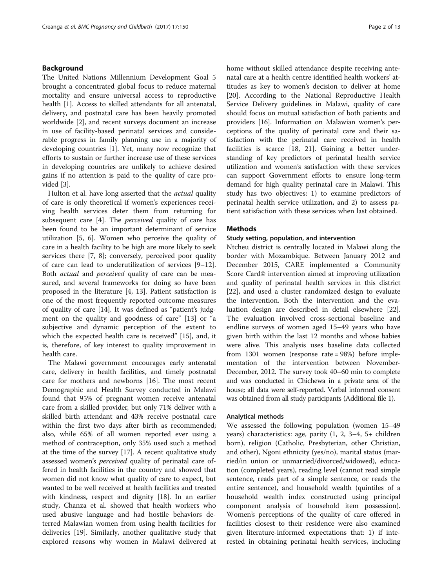# Background

The United Nations Millennium Development Goal 5 brought a concentrated global focus to reduce maternal mortality and ensure universal access to reproductive health [[1\]](#page-11-0). Access to skilled attendants for all antenatal, delivery, and postnatal care has been heavily promoted worldwide [[2](#page-11-0)], and recent surveys document an increase in use of facility-based perinatal services and considerable progress in family planning use in a majority of developing countries [[1\]](#page-11-0). Yet, many now recognize that efforts to sustain or further increase use of these services in developing countries are unlikely to achieve desired gains if no attention is paid to the quality of care provided [[3\]](#page-11-0).

Hulton et al. have long asserted that the *actual* quality of care is only theoretical if women's experiences receiving health services deter them from returning for subsequent care [\[4](#page-11-0)]. The *perceived* quality of care has been found to be an important determinant of service utilization [\[5, 6\]](#page-11-0). Women who perceive the quality of care in a health facility to be high are more likely to seek services there [\[7](#page-11-0), [8\]](#page-11-0); conversely, perceived poor quality of care can lead to underutilization of services [[9](#page-11-0)–[12](#page-11-0)]. Both actual and perceived quality of care can be measured, and several frameworks for doing so have been proposed in the literature [[4, 13\]](#page-11-0). Patient satisfaction is one of the most frequently reported outcome measures of quality of care [\[14\]](#page-11-0). It was defined as "patient's judgment on the quality and goodness of care" [\[13](#page-11-0)] or "a subjective and dynamic perception of the extent to which the expected health care is received" [\[15\]](#page-11-0), and, it is, therefore, of key interest to quality improvement in health care.

The Malawi government encourages early antenatal care, delivery in health facilities, and timely postnatal care for mothers and newborns [[16\]](#page-11-0). The most recent Demographic and Health Survey conducted in Malawi found that 95% of pregnant women receive antenatal care from a skilled provider, but only 71% deliver with a skilled birth attendant and 43% receive postnatal care within the first two days after birth as recommended; also, while 65% of all women reported ever using a method of contraception, only 35% used such a method at the time of the survey [[17](#page-11-0)]. A recent qualitative study assessed women's perceived quality of perinatal care offered in health facilities in the country and showed that women did not know what quality of care to expect, but wanted to be well received at health facilities and treated with kindness, respect and dignity [[18\]](#page-11-0). In an earlier study, Chanza et al. showed that health workers who used abusive language and had hostile behaviors deterred Malawian women from using health facilities for deliveries [[19](#page-11-0)]. Similarly, another qualitative study that explored reasons why women in Malawi delivered at home without skilled attendance despite receiving antenatal care at a health centre identified health workers' attitudes as key to women's decision to deliver at home [[20\]](#page-11-0). According to the National Reproductive Health Service Delivery guidelines in Malawi, quality of care should focus on mutual satisfaction of both patients and providers [\[16](#page-11-0)]. Information on Malawian women's perceptions of the quality of perinatal care and their satisfaction with the perinatal care received in health facilities is scarce [[18](#page-11-0), [21\]](#page-11-0). Gaining a better understanding of key predictors of perinatal health service utilization and women's satisfaction with these services can support Government efforts to ensure long-term demand for high quality perinatal care in Malawi. This study has two objectives: 1) to examine predictors of perinatal health service utilization, and 2) to assess patient satisfaction with these services when last obtained.

# Methods

## Study setting, population, and intervention

Ntcheu district is centrally located in Malawi along the border with Mozambique. Between January 2012 and December 2015, CARE implemented a Community Score Card© intervention aimed at improving utilization and quality of perinatal health services in this district [[22\]](#page-11-0), and used a cluster randomized design to evaluate the intervention. Both the intervention and the evaluation design are described in detail elsewhere [\[22](#page-11-0)]. The evaluation involved cross-sectional baseline and endline surveys of women aged 15–49 years who have given birth within the last 12 months and whose babies were alive. This analysis uses baseline data collected from 1301 women (response rate = 98%) before implementation of the intervention between November-December, 2012. The survey took 40–60 min to complete and was conducted in Chichewa in a private area of the house; all data were self-reported. Verbal informed consent was obtained from all study participants (Additional file [1\)](#page-11-0).

## Analytical methods

We assessed the following population (women 15–49 years) characteristics: age, parity (1, 2, 3–4, 5+ children born), religion (Catholic, Presbyterian, other Christian, and other), Ngoni ethnicity (yes/no), marital status (married/in union or unmarried/divorced/widowed), education (completed years), reading level (cannot read simple sentence, reads part of a simple sentence, or reads the entire sentence), and household wealth (quintiles of a household wealth index constructed using principal component analysis of household item possession). Women's perceptions of the quality of care offered in facilities closest to their residence were also examined given literature-informed expectations that: 1) if interested in obtaining perinatal health services, including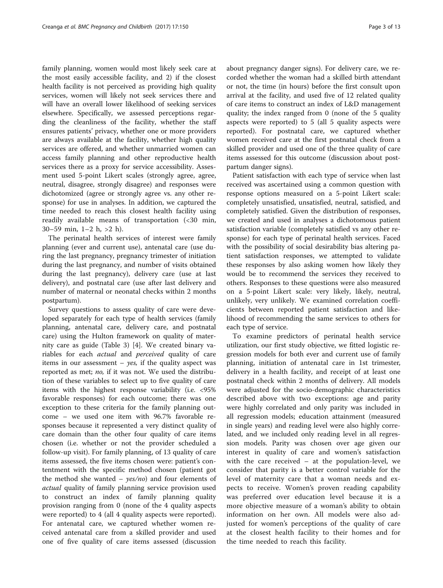family planning, women would most likely seek care at the most easily accessible facility, and 2) if the closest health facility is not perceived as providing high quality services, women will likely not seek services there and will have an overall lower likelihood of seeking services elsewhere. Specifically, we assessed perceptions regarding the cleanliness of the facility, whether the staff ensures patients' privacy, whether one or more providers are always available at the facility, whether high quality services are offered, and whether unmarried women can access family planning and other reproductive health services there as a proxy for service accessibility. Assesment used 5-point Likert scales (strongly agree, agree, neutral, disagree, strongly disagree) and responses were dichotomized (agree or strongly agree vs. any other response) for use in analyses. In addition, we captured the time needed to reach this closest health facility using readily available means of transportation (<30 min, 30–59 min, 1–2 h, >2 h).

The perinatal health services of interest were family planning (ever and current use), antenatal care (use during the last pregnancy, pregnancy trimester of initiation during the last pregnancy, and number of visits obtained during the last pregnancy), delivery care (use at last delivery), and postnatal care (use after last delivery and number of maternal or neonatal checks within 2 months postpartum).

Survey questions to assess quality of care were developed separately for each type of health services (family planning, antenatal care, delivery care, and postnatal care) using the Hulton framework on quality of maternity care as guide (Table [3\)](#page-5-0) [\[4](#page-11-0)]. We created binary variables for each actual and perceived quality of care items in our assessment  $-$  yes, if the quality aspect was reported as met; no, if it was not. We used the distribution of these variables to select up to five quality of care items with the highest response variability (i.e. <95% favorable responses) for each outcome; there was one exception to these criteria for the family planning outcome – we used one item with 96.7% favorable responses because it represented a very distinct quality of care domain than the other four quality of care items chosen (i.e. whether or not the provider scheduled a follow-up visit). For family planning, of 13 quality of care items assessed, the five items chosen were: patient's contentment with the specific method chosen (patient got the method she wanted –  $yes/no)$  and four elements of actual quality of family planning service provision used to construct an index of family planning quality provision ranging from 0 (none of the 4 quality aspects were reported) to 4 (all 4 quality aspects were reported). For antenatal care, we captured whether women received antenatal care from a skilled provider and used one of five quality of care items assessed (discussion

about pregnancy danger signs). For delivery care, we recorded whether the woman had a skilled birth attendant or not, the time (in hours) before the first consult upon arrival at the facility, and used five of 12 related quality of care items to construct an index of L&D management quality; the index ranged from 0 (none of the 5 quality aspects were reported) to 5 (all 5 quality aspects were reported). For postnatal care, we captured whether women received care at the first postnatal check from a skilled provider and used one of the three quality of care items assessed for this outcome (discussion about postpartum danger signs).

Patient satisfaction with each type of service when last received was ascertained using a common question with response options measured on a 5-point Likert scale: completely unsatisfied, unsatisfied, neutral, satisfied, and completely satisfied. Given the distribution of responses, we created and used in analyses a dichotomous patient satisfaction variable (completely satisfied vs any other response) for each type of perinatal health services. Faced with the possibility of social desirability bias altering patient satisfaction responses, we attempted to validate these responses by also asking women how likely they would be to recommend the services they received to others. Responses to these questions were also measured on a 5-point Likert scale: very likely, likely, neutral, unlikely, very unlikely. We examined correlation coefficients between reported patient satisfaction and likelihood of recommending the same services to others for each type of service.

To examine predictors of perinatal health service utilization, our first study objective, we fitted logistic regression models for both ever and current use of family planning, initiation of antenatal care in 1st trimester, delivery in a health facility, and receipt of at least one postnatal check within 2 months of delivery. All models were adjusted for the socio-demographic characteristics described above with two exceptions: age and parity were highly correlated and only parity was included in all regression models; education attainment (measured in single years) and reading level were also highly correlated, and we included only reading level in all regression models. Parity was chosen over age given our interest in quality of care and women's satisfaction with the care received – at the population-level, we consider that parity is a better control variable for the level of maternity care that a woman needs and expects to receive. Women's proven reading capability was preferred over education level because it is a more objective measure of a woman's ability to obtain information on her own. All models were also adjusted for women's perceptions of the quality of care at the closest health facility to their homes and for the time needed to reach this facility.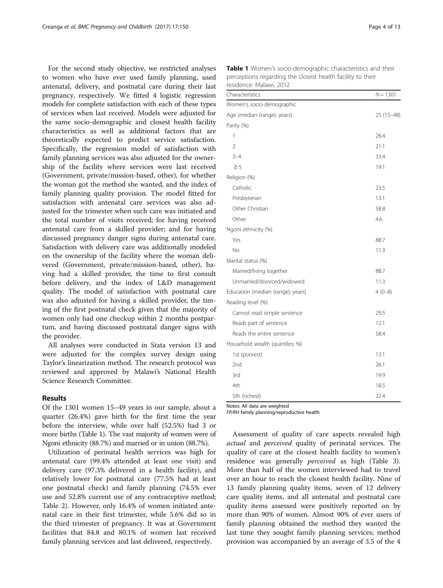For the second study objective, we restricted analyses to women who have ever used family planning, used antenatal, delivery, and postnatal care during their last pregnancy, respectively. We fitted 4 logistic regression models for complete satisfaction with each of these types of services when last received. Models were adjusted for the same socio-demographic and closest health facility characteristics as well as additional factors that are theoretically expected to predict service satisfaction. Specifically, the regression model of satisfaction with family planning services was also adjusted for the ownership of the facility where services were last received (Government, private/mission-based, other), for whether the woman got the method she wanted, and the index of family planning quality provision. The model fitted for satisfaction with antenatal care services was also adjusted for the trimester when such care was initiated and the total number of visits received; for having received antenatal care from a skilled provider; and for having discussed pregnancy danger signs during antenatal care. Satisfaction with delivery care was additionally modeled on the ownership of the facility where the woman delivered (Government, private/mission-based, other), having had a skilled provider, the time to first consult before delivery, and the index of L&D management quality. The model of satisfaction with postnatal care was also adjusted for having a skilled provider, the timing of the first postnatal check given that the majority of women only had one checkup within 2 months postpartum, and having discussed postnatal danger signs with the provider.

All analyses were conducted in Stata version 13 and were adjusted for the complex survey design using Taylor's linearization method. The research protocol was reviewed and approved by Malawi's National Health Science Research Committee.

# Results

Of the 1301 women 15–49 years in our sample, about a quarter (26.4%) gave birth for the first time the year before the interview, while over half (52.5%) had 3 or more births (Table 1). The vast majority of women were of Ngoni ethnicity (88.7%) and married or in union (88.7%).

Utilization of perinatal health services was high for antenatal care (99.4% attended at least one visit) and delivery care (97.3% delivered in a health facility), and relatively lower for postnatal care (77.5% had at least one postnatal check) and family planning (74.5% ever use and 52.8% current use of any contraceptive method; Table [2](#page-4-0)). However, only 16.4% of women initiated antenatal care in their first trimester, while 5.6% did so in the third trimester of pregnancy. It was at Government facilities that 84.8 and 80.1% of women last received family planning services and last delivered, respectively.

| <b>Table 1</b> Women's socio-demographic characteristics and their |  |
|--------------------------------------------------------------------|--|
| perceptions regarding the closest health facility to their         |  |
| residence: Malawi, 2012                                            |  |

| Characteristics                   | $N = 1301$  |
|-----------------------------------|-------------|
| Women's socio-demographic         |             |
| Age (median (range); years)       | $25(15-48)$ |
| Parity (%)                        |             |
| 1                                 | 26.4        |
| $\overline{2}$                    | 21.1        |
| $3 - 4$                           | 33.4        |
| $\geq$ 5                          | 19.1        |
| Religion (%)                      |             |
| Catholic                          | 23.5        |
| Presbyterian                      | 13.1        |
| Other Christian                   | 58.8        |
| Other                             | 4.6         |
| Ngoni ethnicity (%)               |             |
| Yes                               | 88.7        |
| No                                | 11.3        |
| Marital status (%)                |             |
| Married/living together           | 88.7        |
| Unmarried/divorced/widowed        | 11.3        |
| Education (median (range); years) | $4(0-8)$    |
| Reading level (%)                 |             |
| Cannot read simple sentence       | 29.5        |
| Reads part of sentence            | 12.1        |
| Reads the entire sentence         | 58.4        |
| Household wealth (quintiles; %)   |             |
| 1st (poorest)                     | 13.1        |
| 2nd                               | 26.1        |
| 3rd                               | 19.9        |
| 4th                               | 18.5        |
| 5th (richest)                     | 22.4        |

Notes: All data are weighted

FP/RH family planning/reproductive health

Assessment of quality of care aspects revealed high actual and perceived quality of perinatal services. The quality of care at the closest health facility to women's residence was generally perceived as high (Table [3](#page-5-0)). More than half of the women interviewed had to travel over an hour to reach the closest health facility. Nine of 13 family planning quality items, seven of 12 delivery care quality items, and all antenatal and postnatal care quality items assessed were positively reported on by more than 90% of women. Almost 90% of ever users of family planning obtained the method they wanted the last time they sought family planning services; method provision was accompanied by an average of 3.5 of the 4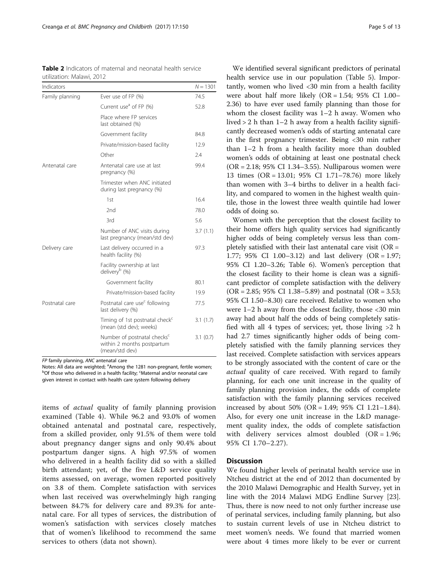women's odds of obtaining at least one postnatal check (OR = 2.18; 95% CI 1.34–3.55). Nulliparous women were 13 times (OR = 13.01; 95% CI 1.71–78.76) more likely than women with 3–4 births to deliver in a health facility, and compared to women in the highest wealth quintile, those in the lowest three wealth quintile had lower odds of doing so. Women with the perception that the closest facility to their home offers high quality services had significantly 99.4 3.7 (1.1) 97.3

higher odds of being completely versus less than completely satisfied with their last antenatal care visit ( $OR =$ 1.77; 95% CI 1.00–3.12) and last delivery (OR = 1.97; 95% CI 1.20–3.26; Table [6](#page-8-0)). Women's perception that the closest facility to their home is clean was a significant predictor of complete satisfaction with the delivery  $(OR = 2.85; 95\% CI 1.38–5.89)$  and postnatal  $(OR = 3.53;$ 95% CI 1.50–8.30) care received. Relative to women who were 1–2 h away from the closest facility, those <30 min away had about half the odds of being completely satisfied with all 4 types of services; yet, those living >2 h had 2.7 times significantly higher odds of being completely satisfied with the family planning services they last received. Complete satisfaction with services appears to be strongly associated with the content of care or the actual quality of care received. With regard to family planning, for each one unit increase in the quality of family planning provision index, the odds of complete satisfaction with the family planning services received increased by about  $50\%$  (OR = 1.49; 95% CI 1.21–1.84). Also, for every one unit increase in the L&D management quality index, the odds of complete satisfaction with delivery services almost doubled  $(OR = 1.96;$ 95% CI 1.70–2.27).

We identified several significant predictors of perinatal health service use in our population (Table [5\)](#page-7-0). Importantly, women who lived <30 min from a health facility were about half more likely  $(OR = 1.54; 95\% \text{ CI } 1.00-$ 2.36) to have ever used family planning than those for whom the closest facility was 1–2 h away. Women who lived > 2 h than 1–2 h away from a health facility significantly decreased women's odds of starting antenatal care in the first pregnancy trimester. Being <30 min rather than 1–2 h from a health facility more than doubled

# **Discussion**

We found higher levels of perinatal health service use in Ntcheu district at the end of 2012 than documented by the 2010 Malawi Demographic and Health Survey, yet in line with the 2014 Malawi MDG Endline Survey [\[23](#page-11-0)]. Thus, there is now need to not only further increase use of perinatal services, including family planning, but also to sustain current levels of use in Ntcheu district to meet women's needs. We found that married women were about 4 times more likely to be ever or current

FP family planning, ANC antenatal care

Notes: All data are weighted; <sup>a</sup>Among the 1281 non-pregnant, fertile women;<br><sup>b</sup>Of those who delivered in a bealth facility: SMaternal and/or neonatal care Of those who delivered in a health facility; <sup>c</sup>Maternal and/or neonatal care given interest in contact with health care system following delivery

items of actual quality of family planning provision examined (Table [4\)](#page-6-0). While 96.2 and 93.0% of women obtained antenatal and postnatal care, respectively, from a skilled provider, only 91.5% of them were told about pregnancy danger signs and only 90.4% about postpartum danger signs. A high 97.5% of women who delivered in a health facility did so with a skilled birth attendant; yet, of the five L&D service quality items assessed, on average, women reported positively on 3.8 of them. Complete satisfaction with services when last received was overwhelmingly high ranging between 84.7% for delivery care and 89.3% for antenatal care. For all types of services, the distribution of women's satisfaction with services closely matches that of women's likelihood to recommend the same services to others (data not shown).

<span id="page-4-0"></span>Table 2 Indicators of maternal and neonatal health service utilization: Malawi, 2012

| Indicators      |                                                                                         | $N = 1301$ |
|-----------------|-----------------------------------------------------------------------------------------|------------|
| Family planning | Ever use of FP (%)                                                                      | 74.5       |
|                 | Current use <sup>a</sup> of FP (%)                                                      | 52.8       |
|                 | Place where FP services<br>last obtained (%)                                            |            |
|                 | Government facility                                                                     | 84.8       |
|                 | Private/mission-based facility                                                          | 12.9       |
|                 | Other                                                                                   | 7.4        |
| Antenatal care  | Antenatal care use at last<br>pregnancy (%)                                             | 99.4       |
|                 | Trimester when ANC initiated<br>during last pregnancy (%)                               |            |
|                 | 1st                                                                                     | 164        |
|                 | 2nd                                                                                     | 78.0       |
|                 | 3rd                                                                                     | 5.6        |
|                 | Number of ANC visits during<br>last pregnancy (mean/std dev)                            | 3.7(1.1)   |
| Delivery care   | Last delivery occurred in a<br>health facility (%)                                      | 97.3       |
|                 | Facility ownership at last<br>delivery <sup>b</sup> (%)                                 |            |
|                 | Government facility                                                                     | 80.1       |
|                 | Private/mission-based facility                                                          | 19.9       |
| Postnatal care  | Postnatal care use <sup>c</sup> following<br>last delivery (%)                          | 77.5       |
|                 | Timing of 1st postnatal check <sup>c</sup><br>(mean (std dev); weeks)                   | 3.1(1.7)   |
|                 | Number of postnatal checks <sup>c</sup><br>within 2 months postpartum<br>(mean/std dev) | 3.1(0.7)   |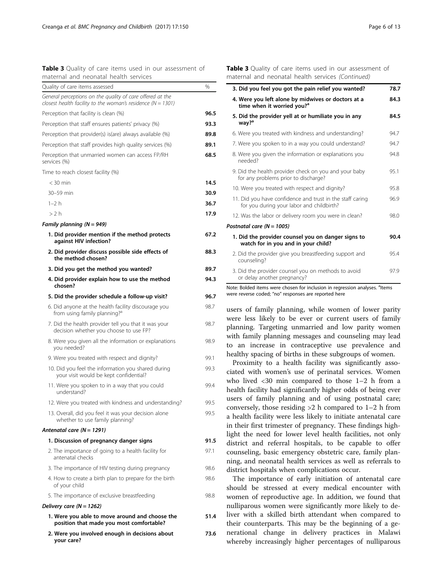<span id="page-5-0"></span>

| Quality of care items assessed                                                                                               | $\%$ |
|------------------------------------------------------------------------------------------------------------------------------|------|
| General perceptions on the quality of care offered at the<br>closest health facility to the woman's residence ( $N = 1301$ ) |      |
| Perception that facility is clean (%)                                                                                        | 96.5 |
| Perception that staff ensures patients' privacy (%)                                                                          | 93.3 |
| Perception that provider(s) is(are) always available (%)                                                                     | 89.8 |
| Perception that staff provides high quality services (%)                                                                     | 89.1 |
| Perception that unmarried women can access FP/RH<br>services (%)                                                             | 68.5 |
| Time to reach closest facility (%)                                                                                           |      |
| $<$ 30 min                                                                                                                   | 14.5 |
| 30-59 min                                                                                                                    | 30.9 |
| $1 - 2h$                                                                                                                     | 36.7 |
| >2 h                                                                                                                         | 17.9 |
| Family planning ( $N = 949$ )                                                                                                |      |
| 1. Did provider mention if the method protects<br>against HIV infection?                                                     | 67.2 |
| 2. Did provider discuss possible side effects of<br>the method chosen?                                                       | 88.3 |
| 3. Did you get the method you wanted?                                                                                        | 89.7 |
| 4. Did provider explain how to use the method<br>chosen?                                                                     | 94.3 |
| 5. Did the provider schedule a follow-up visit?                                                                              | 96.7 |
| 6. Did anyone at the health facility discourage you<br>from using family planning? <sup>a</sup>                              | 98.7 |
| 7. Did the health provider tell you that it was your<br>decision whether you choose to use FP?                               | 98.7 |
| 8. Were you given all the information or explanations<br>you needed?                                                         | 98.9 |
| 9. Were you treated with respect and dignity?                                                                                | 99.1 |
| 10. Did you feel the information you shared during<br>your visit would be kept confidential?                                 | 99.3 |
| 11. Were you spoken to in a way that you could<br>understand?                                                                | 99.4 |
| 12. Were you treated with kindness and understanding?                                                                        | 99.5 |
| 13. Overall, did you feel it was your decision alone<br>whether to use family planning?                                      | 99.5 |
| Antenatal care ( $N = 1291$ )                                                                                                |      |
| 1. Discussion of pregnancy danger signs                                                                                      | 91.5 |
| 2. The importance of going to a health facility for<br>antenatal checks                                                      | 97.1 |
| 3. The importance of HIV testing during pregnancy                                                                            | 98.6 |
| 4. How to create a birth plan to prepare for the birth<br>of your child                                                      | 98.6 |
| 5. The importance of exclusive breastfeeding                                                                                 | 98.8 |
| Delivery care ( $N = 1262$ )                                                                                                 |      |
| 1. Were you able to move around and choose the<br>position that made you most comfortable?                                   | 51.4 |
| 2. Were you involved enough in decisions about<br>your care?                                                                 | 73.6 |

|                                                   |  |  |  | Table 3 Quality of care items used in our assessment of |  |
|---------------------------------------------------|--|--|--|---------------------------------------------------------|--|
| maternal and neonatal health services (Continued) |  |  |  |                                                         |  |

| 3. Did you feel you got the pain relief you wanted?                                                    | 78.7 |
|--------------------------------------------------------------------------------------------------------|------|
| 4. Were you left alone by midwives or doctors at a<br>time when it worried you? <sup>a</sup>           | 84.3 |
| 5. Did the provider yell at or humiliate you in any<br>way? <sup>a</sup>                               | 84.5 |
| 6. Were you treated with kindness and understanding?                                                   | 94.7 |
| 7. Were you spoken to in a way you could understand?                                                   | 94.7 |
| 8. Were you given the information or explanations you<br>needed?                                       | 94.8 |
| 9. Did the health provider check on you and your baby<br>for any problems prior to discharge?          | 95.1 |
| 10. Were you treated with respect and dignity?                                                         | 95.8 |
| 11. Did you have confidence and trust in the staff caring<br>for you during your labor and childbirth? | 96.9 |
| 12. Was the labor or delivery room you were in clean?                                                  | 98.0 |
| Postnatal care (N = 1005)                                                                              |      |
| 1. Did the provider counsel you on danger signs to<br>watch for in you and in your child?              | 90.4 |
| 2. Did the provider give you breastfeeding support and<br>counseling?                                  | 95.4 |
| 3. Did the provider counsel you on methods to avoid<br>or delay another pregnancy?                     | 97.9 |
| Note: Bolded items were chosen for inclusion in regression analyses. <sup>a</sup> ltems                |      |

were reverse coded; "no" responses are reported here

users of family planning, while women of lower parity were less likely to be ever or current users of family planning. Targeting unmarried and low parity women with family planning messages and counseling may lead to an increase in contraceptive use prevalence and healthy spacing of births in these subgroups of women.

Proximity to a health facility was significantly associated with women's use of perinatal services. Women who lived <30 min compared to those 1–2 h from a health facility had significantly higher odds of being ever users of family planning and of using postnatal care; conversely, those residing >2 h compared to 1–2 h from a health facility were less likely to initiate antenatal care in their first trimester of pregnancy. These findings highlight the need for lower level health facilities, not only district and referral hospitals, to be capable to offer counseling, basic emergency obstetric care, family planning, and neonatal health services as well as referrals to district hospitals when complications occur.

The importance of early initiation of antenatal care should be stressed at every medical encounter with women of reproductive age. In addition, we found that nulliparous women were significantly more likely to deliver with a skilled birth attendant when compared to their counterparts. This may be the beginning of a generational change in delivery practices in Malawi whereby increasingly higher percentages of nulliparous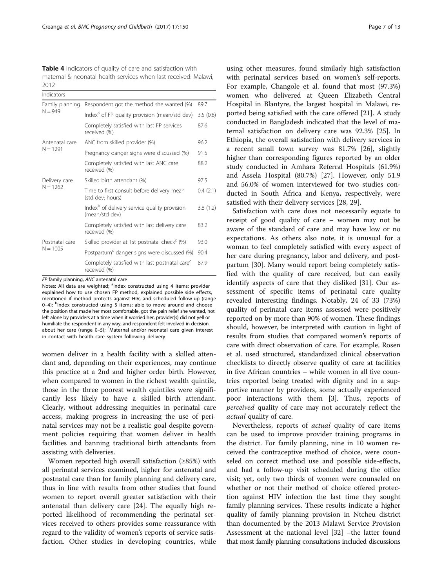<span id="page-6-0"></span>Table 4 Indicators of quality of care and satisfaction with maternal & neonatal health services when last received: Malawi, 2012

| Indicators      |                                                                            |          |
|-----------------|----------------------------------------------------------------------------|----------|
| Family planning | Respondent got the method she wanted (%)                                   | 89.7     |
| $N = 949$       | Index <sup>a</sup> of FP quality provision (mean/std dev)                  | 3.5(0.8) |
|                 | Completely satisfied with last FP services<br>received (%)                 | 87.6     |
| Antenatal care  | ANC from skilled provider (%)                                              | 96.2     |
| $N = 1291$      | Pregnancy danger signs were discussed (%)                                  | 91.5     |
|                 | Completely satisfied with last ANC care<br>received (%)                    | 88.2     |
| Delivery care   | Skilled birth attendant (%)                                                | 97.5     |
| $N = 1262$      | Time to first consult before delivery mean<br>(std dev; hours)             | 0.4(2.1) |
|                 | Index <sup>b</sup> of delivery service quality provision<br>(mean/std dev) | 3.8(1.2) |
|                 | Completely satisfied with last delivery care<br>received (%)               | 83.2     |
| Postnatal care  | Skilled provider at 1st postnatal check <sup>c</sup> (%)                   | 93.0     |
| $N = 1005$      | Postpartum <sup>c</sup> danger signs were discussed (%)                    | 90.4     |
|                 | Completely satisfied with last postnatal care <sup>c</sup><br>received (%) | 87.9     |

FP family planning, ANC antenatal care

Notes: All data are weighted; <sup>a</sup>lndex constructed using 4 items: provider explained how to use chosen FP method, explained possible side effects, mentioned if method protects against HIV, and scheduled follow-up (range 0–4); <sup>b</sup>Index constructed using 5 items: able to move around and choose the position that made her most comfortable, got the pain relief she wanted, not left alone by providers at a time when it worried her, provider(s) did not yell or humiliate the respondent in any way, and respondent felt involved in decision about her care (range 0–5); <sup>c</sup>Maternal and/or neonatal care given interest in contact with health care system following delivery

women deliver in a health facility with a skilled attendant and, depending on their experiences, may continue this practice at a 2nd and higher order birth. However, when compared to women in the richest wealth quintile, those in the three poorest wealth quintiles were significantly less likely to have a skilled birth attendant. Clearly, without addressing inequities in perinatal care access, making progress in increasing the use of perinatal services may not be a realistic goal despite government policies requiring that women deliver in health facilities and banning traditional birth attendants from assisting with deliveries.

Women reported high overall satisfaction (≥85%) with all perinatal services examined, higher for antenatal and postnatal care than for family planning and delivery care, thus in line with results from other studies that found women to report overall greater satisfaction with their antenatal than delivery care [\[24](#page-11-0)]. The equally high reported likelihood of recommending the perinatal services received to others provides some reassurance with regard to the validity of women's reports of service satisfaction. Other studies in developing countries, while

using other measures, found similarly high satisfaction with perinatal services based on women's self-reports. For example, Changole et al. found that most (97.3%) women who delivered at Queen Elizabeth Central Hospital in Blantyre, the largest hospital in Malawi, reported being satisfied with the care offered [\[21\]](#page-11-0). A study conducted in Bangladesh indicated that the level of maternal satisfaction on delivery care was 92.3% [[25\]](#page-11-0). In Ethiopia, the overall satisfaction with delivery services in a recent small town survey was 81.7% [\[26](#page-11-0)], slightly higher than corresponding figures reported by an older study conducted in Amhara Referral Hospitals (61.9%) and Assela Hospital (80.7%) [[27\]](#page-11-0). However, only 51.9 and 56.0% of women interviewed for two studies conducted in South Africa and Kenya, respectively, were satisfied with their delivery services [[28, 29\]](#page-12-0).

Satisfaction with care does not necessarily equate to receipt of good quality of care – women may not be aware of the standard of care and may have low or no expectations. As others also note, it is unusual for a woman to feel completely satisfied with every aspect of her care during pregnancy, labor and delivery, and postpartum [\[30](#page-12-0)]. Many would report being completely satisfied with the quality of care received, but can easily identify aspects of care that they disliked [\[31](#page-12-0)]. Our assessment of specific items of perinatal care quality revealed interesting findings. Notably, 24 of 33 (73%) quality of perinatal care items assessed were positively reported on by more than 90% of women. These findings should, however, be interpreted with caution in light of results from studies that compared women's reports of care with direct observation of care. For example, Rosen et al. used structured, standardized clinical observation checklists to directly observe quality of care at facilities in five African countries – while women in all five countries reported being treated with dignity and in a supportive manner by providers, some actually experienced poor interactions with them [[3\]](#page-11-0). Thus, reports of perceived quality of care may not accurately reflect the actual quality of care.

Nevertheless, reports of actual quality of care items can be used to improve provider training programs in the district. For family planning, nine in 10 women received the contraceptive method of choice, were counseled on correct method use and possible side-effects, and had a follow-up visit scheduled during the office visit; yet, only two thirds of women were counseled on whether or not their method of choice offered protection against HIV infection the last time they sought family planning services. These results indicate a higher quality of family planning provision in Ntcheu district than documented by the 2013 Malawi Service Provision Assessment at the national level [[32\]](#page-12-0) –the latter found that most family planning consultations included discussions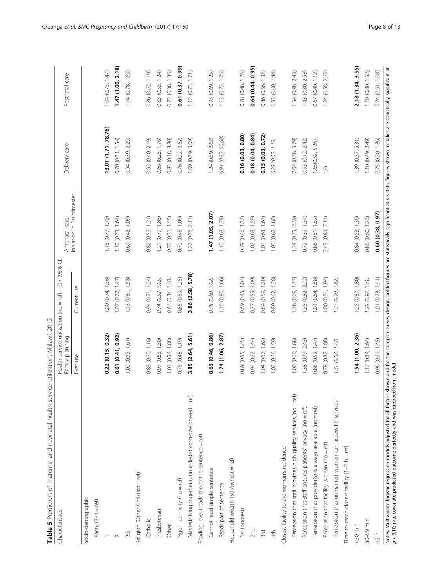<span id="page-7-0"></span>

| Characteristics                                                 | Family planning   | Health service utilization (no = ref) - OR (95% CI) | Antenatal care              | Delivery care         | Postnatal care    |
|-----------------------------------------------------------------|-------------------|-----------------------------------------------------|-----------------------------|-----------------------|-------------------|
|                                                                 | Ever use          | Current use                                         | initiation in 1st trimester |                       |                   |
| Socio-demographic                                               |                   |                                                     |                             |                       |                   |
| Parity $(3-4 = ref)$                                            |                   |                                                     |                             |                       |                   |
|                                                                 | 0.22 (0.15, 0.32) | 1.00 (0.74, 1.36)                                   | 1.15 (0.77, 1.70)           | 13.01 (1.71, 78.76)   | 1.04(0.73, 1.47)  |
| $\sim$                                                          | 0.61 (0.41, 0.92) | 1.07(0.77, 1.47)                                    | 1.10 (0.73, 1.64)           | 0.70(0.31, 1.54)      | 1.47 (1.00, 2.18) |
| Σń                                                              | 1.02 (0.65, 1.61) | 1.13 (0.81, 1.58)                                   | 0.69 (0.43, 1.09)           | 0.94 (0.39, 2.25)     | 1.14 (0.78, 1.65) |
| Religion (Other Christian = ref)                                |                   |                                                     |                             |                       |                   |
| Catholic                                                        | 0.83 (0.60, 1.16) | 0.94 (0.71, 1.24)                                   | 0.82 (0.56, 1.21)           | 0.93 (0.40, 2.19)     | 0.86 (0.62, 1.19) |
| Presbyterian                                                    | 0.97 (0.63, 1.50) | 0.74 (0.52, 1.05)                                   | 1.21 (0.79, 1.85)           | 0.66 (0.25, 1.76)     | 0.83 (0.55, 1.24) |
| Other                                                           | 1.01 (0.54, 1.88) | 0.61 (0.34, 1.10)                                   | 0.70(0.31, 1.55)            | 0.83 (0.18, 3.80)     | 0.72(0.38, 1.35)  |
| Ngoni ethnicity (no = ref)                                      | 0.75(0.48, 1.19)  | 0.85 (0.59, 1.25)                                   | 0.70 (0.45, 1.09)           | 0.76 (0.22, 2.62)     | 0.61 (0.37, 0.99) |
| Married/living together (unmarried/divorced/widowed = ref)      | 3.85 (2.64, 5.61) | 3.86 (2.58, 5.78)                                   | $1.27$ (0.76, 2.11)         | 1.09 (0.39, 3.09)     | 1.12(0.73, 1.71)  |
| Reading level (reads the entire sentence = ref)                 |                   |                                                     |                             |                       |                   |
| Cannot read simple sentence                                     | 0.63 (0.46, 0.86) | 0.78 (0.60, 1.02)                                   | 1.47 (1.05, 2.07)           | 1.24 (0.59, 2.62)     | 0.93 (0.69, 1.25) |
| Reads part of sentence                                          | 1.74 (1.06, 2.87) | 1.15 (0.80, 1.66)                                   | 1.10 (0.68, 1.78)           | 6.94 (0.95, 50.68)    | 1.13 (0.73, 1.75) |
| Household wealth (5th/richest = ref)                            |                   |                                                     |                             |                       |                   |
| 1st (poorest)                                                   | 0.89 (0.55, 1.45) | 0.69 (0.45, 1.04)                                   | 0.79 (0.46, 1.37)           | 0.16 (0.03, 0.80)     | 0.78 (0.48, 1.25) |
| 2nd                                                             | 0.94(0.62, 1.44)  | 0.77 (0.55, 1.09)                                   | 1.02 (0.65, 1.59)           | 0.18(0.04, 0.84)      | 0.64(0.44, 0.95)  |
| 3rd                                                             | 1.04 (0.67, 1.62) | 0.84 (0.59, 1.20)                                   | 1.01 (0.63, 1.61)           | 0.15 (0.03, 0.72)     | 0.86 (0.56, 1.32) |
| 4th                                                             | 1.02 (0.66, 1.59) | 0.89 (0.62, 1.28)                                   | 1.00 (0.62, 1.60)           | 0.23 (0.05, 1.19)     | 0.93 (0.60, 1.44) |
| Closest facility to the woman's residence                       |                   |                                                     |                             |                       |                   |
| Perception that staff provides high quality services (no = ref) | 1.00 (0.60, 1.68) | 1.18 (0.79, 1.77)                                   | 1.34 (0.75, 2.39)           | 2.04 (0.78, 5.29)     | 1.54 (0.98, 2.43) |
| Perception that staff ensures patients' privacy (no = ref)      | 1.38 (0.79, 2.43) | 1.35 (0.82, 2.22)                                   | 0.72(0.39, 1.34)            | $0.53$ $(0.12, 2.42)$ | 1.43 (0.80, 2.58) |
| Perception that provider(s) is always available (no = ref)      | 0.88(0.52, 1.47)  | 1.01 (0.64, 1.58)                                   | 0.88 (0.51, 1.52)           | 1.65(0.52, 5.26)      | 0.67 (0.40, 1.12) |
| Perception that facility is clean (no = ref)                    | 0.78 (0.32, 1.88) | 1.00 (0.51, 1.94)                                   | 2.45 (0.84, 7.11)           | n/a                   | 1.24 (0.58, 2.65) |
| Perception that unmarried women can access FP services          | 1.31 (0.97, 1.77) | 1.27 (0.99, 1.62)                                   |                             |                       |                   |
| Time to reach closest facility $(1-2 h = ref)$                  |                   |                                                     |                             |                       |                   |
| $<$ 30 min                                                      | 1.54 (1.00, 2.36) | 1.25 (0.87, 1.80)                                   | 0.84 (0.53, 1.36)           | 1.39 (0.37, 5.31)     | 2.18 (1.34, 3.55) |
| $30-59$ min                                                     | 1.17(0.84, 1.64)  | 1.29 (0.97, 1.71)                                   | 0.86 (0.60, 1.23)           | 1.10 (0.49, 2.49)     | 1.10 (0.80, 1.52) |
| >2 h                                                            | 0.96 (0.64, 1.45) | 1.01(0.73, 1.41)                                    | 0.60 (0.38, 0.97)           | 0.75 (0.30, 1.86)     | 0.74(0.51, 1.08)  |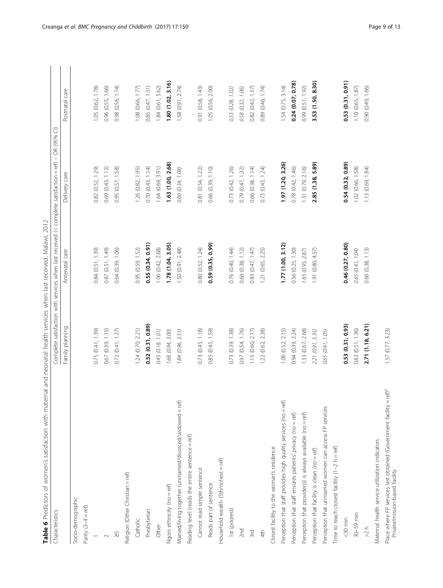| $\overline{\phantom{a}}$               |
|----------------------------------------|
| )<br>                                  |
|                                        |
|                                        |
|                                        |
| $\overline{\phantom{a}}$<br>ï          |
| j<br>÷                                 |
|                                        |
| ī<br>֖֖֖֖֖֚֚֚֚֚֚֚֚֚֚֚֚֬֝֝֓֡֬֝֬֝֓֬֝֬֝֓֬ |
| i<br>j                                 |
| $\ddot{\phantom{0}}$                   |
| ć<br>j                                 |
| j<br>j                                 |
| ļ                                      |
|                                        |
| $\overline{\phantom{a}}$               |
| $\mathbf$                              |
|                                        |
| ¢<br>l<br>f                            |
| $\frac{1}{2}$                          |
|                                        |
|                                        |
| í<br>j<br>Ï<br>i                       |
|                                        |
| ş                                      |
| Ó<br>ï                                 |
|                                        |
|                                        |
| í                                      |
| 5)<br>1                                |
| $\overline{\phantom{a}}$               |
|                                        |
| $\frac{1}{2}$                          |
|                                        |
| j                                      |
| İ<br>ĺ                                 |
|                                        |
|                                        |
| d                                      |
| ã                                      |
|                                        |
| Ċ                                      |
| Š                                      |
| 1<br>)<br>5<br>5                       |
|                                        |
| ļ                                      |
|                                        |
|                                        |
|                                        |
|                                        |
|                                        |
| j                                      |
| $\overline{1}$                         |
| Í                                      |
|                                        |
|                                        |
| $\ddot{\phantom{a}}$                   |
|                                        |
|                                        |
| j<br>Ï                                 |
|                                        |
|                                        |
|                                        |
|                                        |
| i                                      |
|                                        |
| j                                      |
| Ò                                      |
| Í                                      |
| :<br>5                                 |
|                                        |
| $\frac{1}{2}$<br>ì                     |
| $\mathfrak{c}$                         |
| able 6<br>j                            |
|                                        |
|                                        |
|                                        |
| I                                      |
|                                        |

<span id="page-8-0"></span>

| Table 6 Predictors of women's satisfaction with maternal and neonatal health services when last received: Malawi, 2012<br>Characteristics |                   | Complete satisfaction with services when last received (< complete satisfaction = ref) | $-$ OR (95% CI)   |                     |
|-------------------------------------------------------------------------------------------------------------------------------------------|-------------------|----------------------------------------------------------------------------------------|-------------------|---------------------|
|                                                                                                                                           | Family planning   | Antenatal care                                                                         | Delivery care     | Postnatal care      |
| Socio-demographic                                                                                                                         |                   |                                                                                        |                   |                     |
| Parity (3-4 = ref)                                                                                                                        |                   |                                                                                        |                   |                     |
|                                                                                                                                           | 0.75(0.41, 1.39)  | 0.84(0.51, 1.39)                                                                       | 0.82 (0.52, 1.29) | 1.05 (0.62, 1.78)   |
| $\sim$                                                                                                                                    | 0.67 (0.39, 1.15) | 0.87 (0.51, 1.49)                                                                      | 0.69 (0.43, 1.12) | 0.96 (0.55, 1.66)   |
| $\frac{5}{2}$                                                                                                                             | 0.72(0.41, 1.27)  | 0.64(0.39, 1.06)                                                                       | 0.95 (0.57, 1.58) | 0.98 (0.56, 1.74)   |
| Religion (Other Christian = ref)                                                                                                          |                   |                                                                                        |                   |                     |
| Catholic                                                                                                                                  | 1.24(0.70, 2.21)  | 0.95 (0.59, 1.52)                                                                      | 1.26 (0.82, 1.95) | 1.08 (0.66, 1.77)   |
| Presbyterian                                                                                                                              | 0.52 (0.31, 0.89) | 0.55(0.34, 0.91)                                                                       | 0.70(0.43, 1.14)  | 0.85(0.47, 1.51)    |
| Other                                                                                                                                     | 0.43 (0.18, 1.01) | 1.06 (0.42, 2.68)                                                                      | 1.64(0.69, 3.91)  | 1.84 (0.61, 5.62)   |
| Ngoni ethnicity (no = ref)                                                                                                                | 1.68 (0.94, 3.00) | 1.78 (1.04, 3.05)                                                                      | 1.63 (1.00, 2.68) | 1.80(1.02, 3.16)    |
| Married/living together (unmarried/divorced/widowed = ref)                                                                                | 1.84 (0.96, 3.51) | 1.50 (0.91, 2.48)                                                                      | 0.60 (0.34, 1.08) | 1.58 (0.91, 2.74)   |
| Reading level (reads the entire sentence = ref)                                                                                           |                   |                                                                                        |                   |                     |
| Cannot read simple sentence                                                                                                               | 0.73 (0.45, 1.18) | 0.80 (0.52, 1.24)                                                                      | 0.81 (0.54, 1.22) | 0.91 (0.58, 1.43)   |
| Reads part of sentence                                                                                                                    | 0.85 (0.45, 1.59) | 0.59 (0.35, 0.99)                                                                      | 0.66 (0.39, 1.10) | 1.05 (0.56, 2.00)   |
| Household wealth (5th/richest = ref)                                                                                                      |                   |                                                                                        |                   |                     |
| 1st (poorest)                                                                                                                             | 0.73(0.39, 1.38)  | 0.76 (0.40, 1.44)                                                                      | 0.73(0.42, 1.26)  | 0.53 (0.28, 1.02)   |
| 2nd                                                                                                                                       | 0.97 (0.54, 1.76) | 0.66(0.38, 1.12)                                                                       | 0.79(0.47, 1.32)  | 0.58 (0.32, 1.06)   |
| 3rd                                                                                                                                       | 1.15(0.60, 2.17)  | 0.83(0.47, 1.47)                                                                       | 0.66(0.38, 1.14)  | 0.82(0.42, 1.57)    |
| 4th                                                                                                                                       | 1.22(0.62, 2.38)  | 1.21 (0.65, 2.25)                                                                      | 0.73(0.43, 1.24)  | 0.89 (0.46, 1.74)   |
| Closest facility to the woman's residence                                                                                                 |                   |                                                                                        |                   |                     |
| Perception that staff provides high quality services (no = ref)                                                                           | 1.06(0.52, 2.15)  | 1.77 (1.00, 3.12)                                                                      | 1.97 (1.20, 3.26) | $1.54$ (0.75, 3.14) |
| Perception that staff ensures patients' privacy (no = ref)                                                                                | 0.94(0.39, 2.24)  | 0.56 (0.25, 1.30)                                                                      | 0.78(0.42, 1.46)  | 0.24 (0.07, 0.78)   |
| Perception that provider(s) is always available (no = ref)                                                                                | 1.33 (0.67, 2.68) | 1.65 (0.95, 2.87)                                                                      | 1.31 (0.79, 2.16) | 0.99(0.51, 1.92)    |
| Perception that facility is clean (no = ref)                                                                                              | 2.21 (0.91, 5.35) | 1.91 (0.80, 4.57)                                                                      | 2.85 (1.38, 5.89) | 3.53 (1.50, 8.30)   |
| Perception that unmarried women can access FP services                                                                                    | 0.65 (0.41, 1.05) |                                                                                        |                   |                     |
| Time to reach closest facility (1-2 h = ref)                                                                                              |                   |                                                                                        |                   |                     |
| $<$ 30 min                                                                                                                                | 0.53 (0.31, 0.93) | 0.46 (0.27, 0.80)                                                                      | 0.54 (0.32, 0.89) | 0.53 (0.31, 0.91)   |
| $30-59$ min                                                                                                                               | 0.83 (0.51, 1.36) | 0.65 (0.41, 1.04)                                                                      | 1.02 (0.66, 1.58) | 1.10 (0.65, 1.87)   |
| >2 h                                                                                                                                      | 2.71 (1.18, 6.21) | 0.66 (0.38, 1.13)                                                                      | 1.13 (0.69, 1.84) | 0.90 (0.49, 1.66)   |
| Maternal health service utilization indicators                                                                                            |                   |                                                                                        |                   |                     |
| Place where FP services last obtained (Government facility = ref) <sup>ª</sup><br>Private/mission-based facility                          | 1.57 (0.77, 3.23) |                                                                                        |                   |                     |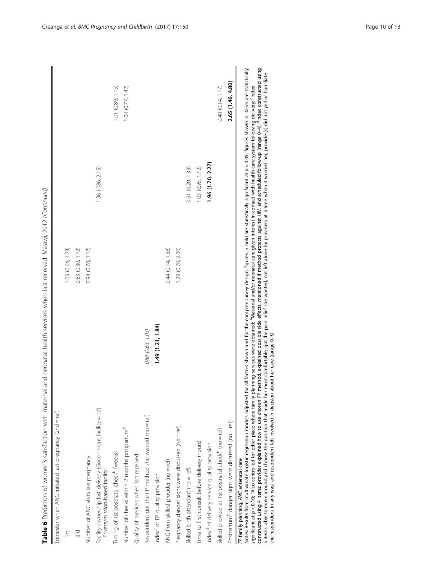| 15t                                                                                            | 1.05 (0.64, 1.73) |                   |
|------------------------------------------------------------------------------------------------|-------------------|-------------------|
| 3rd                                                                                            | 0.63 (0.30, 1.12) |                   |
| Number of ANC visits last pregnancy                                                            | 0.94(0.78, 1.12)  |                   |
| Facility ownership last delivery (Government facility = ref)<br>Private/mission-based facility | 1.36 (.086, 2.15) |                   |
| Timing of 1st postnatal check <sup>b</sup> (weeks)                                             |                   | 1.01 (0.89, 1.15) |
| Number of checks within 2 months postpartum <sup>b</sup>                                       |                   | 1.04(0.77, 1.42)  |
| Quality of services when last received                                                         |                   |                   |
| 0.80 (0.63, 1.03)<br>Respondent got the FP method she wanted (no = ref)                        |                   |                   |
| 1.49(1.21, 1.84)<br>Index <sup>c</sup> of FP quality provision                                 |                   |                   |
| ANC from skilled provider (no = ref)                                                           | 0.44(0.14, 1.38)  |                   |
| Pregnancy danger signs were discussed (no = ref)                                               | 1.29 (0.70, 2.36) |                   |
| Skilled birth attendant (no = ref)                                                             | 0.51 (0.20, 1.33) |                   |
| Time to first consult before delivery (hours)                                                  | 1.03 (0.95, 1.12) |                   |
| Index <sup>a</sup> of delivery service quality provision                                       | 1.96 (1.70, 2.27) |                   |
| Skilled provider at 1st postnatal check <sup>p</sup> (no = ref)                                |                   | 0.40(0.14, 1.17)  |
| Postpartum <sup>p</sup> danger signs were discussed (no = ref)                                 |                   | 2.65 (1.46, 4.80) |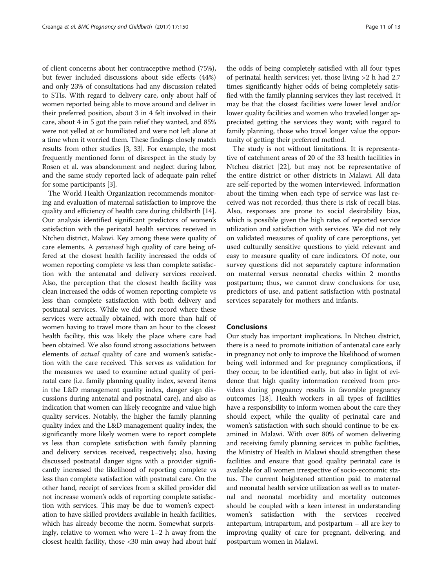of client concerns about her contraceptive method (75%), but fewer included discussions about side effects (44%) and only 23% of consultations had any discussion related to STIs. With regard to delivery care, only about half of women reported being able to move around and deliver in their preferred position, about 3 in 4 felt involved in their care, about 4 in 5 got the pain relief they wanted, and 85% were not yelled at or humiliated and were not left alone at a time when it worried them. These findings closely match results from other studies [[3,](#page-11-0) [33](#page-12-0)]. For example, the most frequently mentioned form of disrespect in the study by Rosen et al. was abandonment and neglect during labor, and the same study reported lack of adequate pain relief for some participants [\[3](#page-11-0)].

The World Health Organization recommends monitoring and evaluation of maternal satisfaction to improve the quality and efficiency of health care during childbirth [[14](#page-11-0)]. Our analysis identified significant predictors of women's satisfaction with the perinatal health services received in Ntcheu district, Malawi. Key among these were quality of care elements. A perceived high quality of care being offered at the closest health facility increased the odds of women reporting complete vs less than complete satisfaction with the antenatal and delivery services received. Also, the perception that the closest health facility was clean increased the odds of women reporting complete vs less than complete satisfaction with both delivery and postnatal services. While we did not record where these services were actually obtained, with more than half of women having to travel more than an hour to the closest health facility, this was likely the place where care had been obtained. We also found strong associations between elements of actual quality of care and women's satisfaction with the care received. This serves as validation for the measures we used to examine actual quality of perinatal care (i.e. family planning quality index, several items in the L&D management quality index, danger sign discussions during antenatal and postnatal care), and also as indication that women can likely recognize and value high quality services. Notably, the higher the family planning quality index and the L&D management quality index, the significantly more likely women were to report complete vs less than complete satisfaction with family planning and delivery services received, respectively; also, having discussed postnatal danger signs with a provider significantly increased the likelihood of reporting complete vs less than complete satisfaction with postnatal care. On the other hand, receipt of services from a skilled provider did not increase women's odds of reporting complete satisfaction with services. This may be due to women's expectation to have skilled providers available in health facilities, which has already become the norm. Somewhat surprisingly, relative to women who were 1–2 h away from the closest health facility, those <30 min away had about half the odds of being completely satisfied with all four types of perinatal health services; yet, those living >2 h had 2.7 times significantly higher odds of being completely satisfied with the family planning services they last received. It may be that the closest facilities were lower level and/or lower quality facilities and women who traveled longer appreciated getting the services they want; with regard to family planning, those who travel longer value the opportunity of getting their preferred method.

The study is not without limitations. It is representative of catchment areas of 20 of the 33 health facilities in Ntcheu district [\[22\]](#page-11-0), but may not be representative of the entire district or other districts in Malawi. All data are self-reported by the women interviewed. Information about the timing when each type of service was last received was not recorded, thus there is risk of recall bias. Also, responses are prone to social desirability bias, which is possible given the high rates of reported service utilization and satisfaction with services. We did not rely on validated measures of quality of care perceptions, yet used culturally sensitive questions to yield relevant and easy to measure quality of care indicators. Of note, our survey questions did not separately capture information on maternal versus neonatal checks within 2 months postpartum; thus, we cannot draw conclusions for use, predictors of use, and patient satisfaction with postnatal services separately for mothers and infants.

## Conclusions

Our study has important implications. In Ntcheu district, there is a need to promote initiation of antenatal care early in pregnancy not only to improve the likelihood of women being well informed and for pregnancy complications, if they occur, to be identified early, but also in light of evidence that high quality information received from providers during pregnancy results in favorable pregnancy outcomes [[18](#page-11-0)]. Health workers in all types of facilities have a responsibility to inform women about the care they should expect, while the quality of perinatal care and women's satisfaction with such should continue to be examined in Malawi. With over 80% of women delivering and receiving family planning services in public facilities, the Ministry of Health in Malawi should strengthen these facilities and ensure that good quality perinatal care is available for all women irrespective of socio-economic status. The current heightened attention paid to maternal and neonatal health service utilization as well as to maternal and neonatal morbidity and mortality outcomes should be coupled with a keen interest in understanding women's satisfaction with the services received antepartum, intrapartum, and postpartum – all are key to improving quality of care for pregnant, delivering, and postpartum women in Malawi.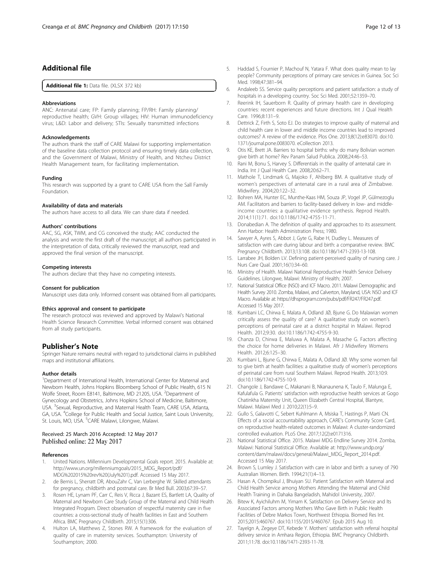# <span id="page-11-0"></span>Additional file

[Additional file 1:](dx.doi.org/10.1186/s12884-017-1331-7) Data file. (XLSX 372 kb)

#### Abbreviations

ANC: Antenatal care; FP: Family planning; FP/RH: Family planning/ reproductive health; GVH: Group villages; HIV: Human immunodeficiency virus; L&D: Labor and delivery; STIs: Sexually transmitted infections

#### Acknowledgements

The authors thank the staff of CARE Malawi for supporting implementation of the baseline data collection protocol and ensuring timely data collection, and the Government of Malawi, Ministry of Health, and Ntcheu District Health Management team, for facilitating implementation.

#### Funding

This research was supported by a grant to CARE USA from the Sall Family Foundation.

#### Availability of data and materials

The authors have access to all data. We can share data if needed.

#### Authors' contributions

AAC, SG, ASK, TWM, and CG conceived the study; AAC conducted the analysis and wrote the first draft of the manuscript; all authors participated in the interpretation of data, critically reviewed the manuscript, read and approved the final version of the manuscript.

#### Competing interests

The authors declare that they have no competing interests.

#### Consent for publication

Manuscript uses data only. Informed consent was obtained from all participants.

# Ethics approval and consent to participate

The research protocol was reviewed and approved by Malawi's National Health Science Research Committee. Verbal informed consent was obtained from all study participants.

#### Publisher's Note

Springer Nature remains neutral with regard to jurisdictional claims in published maps and institutional affiliations.

#### Author details

<sup>1</sup>Department of International Health, International Center for Maternal and Newborn Health, Johns Hopkins Bloomberg School of Public Health, 615 N Wolfe Street, Room E8141, Baltimore, MD 21205, USA. <sup>2</sup>Department of Gynecology and Obstetrics, Johns Hopkins School of Medicine, Baltimore, USA. <sup>3</sup>Sexual, Reproductive, and Maternal Health Team, CARE USA, Atlanta, GA, USA. <sup>4</sup>College for Public Health and Social Justice, Saint Louis University, St. Louis, MO, USA. <sup>5</sup>CARE Malawi, Lilongwe, Malawi.

# Received: 25 March 2016 Accepted: 12 May 2017 Published online: 22 May 2017

#### References

- 1. United Nations. Millennium Developmental Goals report. 2015. Available at: [http://www.un.org/millenniumgoals/2015\\_MDG\\_Report/pdf/](http://www.un.org/millenniumgoals/2015_MDG_Report/pdf/MDG%202015%20rev%20(July%201).pdf) [MDG%202015%20rev%20\(July%201\).pdf](http://www.un.org/millenniumgoals/2015_MDG_Report/pdf/MDG%202015%20rev%20(July%201).pdf). Accessed 15 May 2017.
- de Bernis L, Sherratt DR, AbouZahr C, Van Lerberghe W. Skilled attendants for pregnancy, childbirth and postnatal care. Br Med Bull. 2003;67:39–57.
- 3. Rosen HE, Lynam PF, Carr C, Reis V, Ricca J, Bazant ES, Bartlett LA, Quality of Maternal and Newborn Care Study Group of the Maternal and Child Health Integrated Program. Direct observation of respectful maternity care in five countries: a cross-sectional study of health facilities in East and Southern Africa. BMC Pregnancy Childbirth. 2015;15(1):306.
- 4. Hulton LA, Matthews Z, Stones RW. A framework for the evaluation of quality of care in maternity services. Southampton: University of Southampton; 2000.
- 5. Haddad S, Fournier P, Machouf N, Yatara F. What does quality mean to lay people? Community perceptions of primary care services in Guinea. Soc Sci Med. 1998;47:381–94.
- 6. Andaleeb SS. Service quality perceptions and patient satisfaction: a study of hospitals in a developing country. Soc Sci Med. 2001;52:1359–70.
- 7. Reerink IH, Sauerborn R. Quality of primary health care in developing countries: recent experiences and future directions. Int J Qual Health Care. 1996;8:131–9.
- 8. Dettrick Z, Firth S, Soto EJ. Do strategies to improve quality of maternal and child health care in lower and middle income countries lead to improved outcomes? A review of the evidence. Plos One. 2013;8(12):e83070. doi[:10.](http://dx.doi.org/10.1371/journal.pone.0083070) [1371/journal.pone.0083070](http://dx.doi.org/10.1371/journal.pone.0083070). eCollection 2013.
- 9. Otis KE, Brett JA. Barriers to hospital births: why do many Bolivian women give birth at home? Rev Panam Salud Publica. 2008;24:46–53.
- 10. Rani M, Bonu S, Harvey S. Differentials in the quality of antenatal care in India. Int J Qual Health Care. 2008;20:62–71.
- 11. Mathole T, Lindmark G, Majoko F, Ahlberg BM. A qualitative study of women's perspectives of antenatal care in a rural area of Zimbabwe. Midwifery. 2004;20:122–32.
- 12. Bohren MA, Hunter EC, Munthe-Kaas HM, Souza JP, Vogel JP, Gülmezoglu AM. Facilitators and barriers to facility-based delivery in low- and middleincome countries: a qualitative evidence synthesis. Reprod Health. 2014;11(1):71. doi[:10.1186/1742-4755-11-71](http://dx.doi.org/10.1186/1742-4755-11-71).
- 13. Donabedian A. The definition of quality and approaches to its assessment. Ann Harbor: Health Administration Press; 1980.
- 14. Sawyer A, Ayres S, Abbot J, Gyte G, Rabe H, Dudley L. Measures of satisfaction with care during labour and birth: a comparative review. BMC Pregnancy Childbirth. 2013;13:108. doi:[10.1186/1471-2393-13-108.](http://dx.doi.org/10.1186/1471-2393-13-108)
- 15. Larrabee JH, Bolden LV. Defining patient-perceived quality of nursing care. J Nurs Care Qual. 2001;16(1):34–60.
- 16. Ministry of Health. Malawi National Reproductive Health Service Delivery Guidelines. Lilongwe, Malawi: Ministry of Health; 2007.
- 17. National Statistical Office (NSO) and ICF Macro. 2011. Malawi Demographic and Health Survey 2010. Zomba, Malawi, and Calverton, Maryland, USA: NSO and ICF Macro. Available at: [https://dhsprogram.com/pubs/pdf/FR247/FR247.pdf.](https://dhsprogram.com/pubs/pdf/FR247/FR247.pdf) Accessed 15 May 2017.
- 18. Kumbani LC, Chirwa E, Malata A, Odland JØ, Bjune G. Do Malawian women critically assess the quality of care? A qualitative study on women's perceptions of perinatal care at a district hospital in Malawi. Reprod Health. 2012;9:30. doi:[10.1186/1742-4755-9-30.](http://dx.doi.org/10.1186/1742-4755-9-30)
- 19. Chanza D, Chirwa E, Maluwa A, Malata A, Masache G. Factors affecting the choice for home deliveries in Malawi. Afr J Midwifery Womens Health. 2012;6:125–30.
- 20. Kumbani L, Bjune G, Chirwa E, Malata A, Odland JØ. Why some women fail to give birth at health facilities: a qualitative study of women's perceptions of perinatal care from rural Southern Malawi. Reprod Health. 2013;10:9. doi[:10.1186/1742-4755-10-9.](http://dx.doi.org/10.1186/1742-4755-10-9)
- 21. Changole J, Bandawe C, Makanani B, Nkanaunena K, Taulo F, Malunga E, Kafulafula G. Patients' satisfaction with reproductive health services at Gogo Chatinkha Maternity Unit, Queen Elizabeth Central Hospital, Blantyre, Malawi. Malawi Med J. 2010;22(1):5–9.
- 22. Gullo S, Galavotti C, Sebert Kuhlmann A, Msiska T, Hastings P, Marti CN. Effects of a social accountability approach, CARE's Community Score Card, on reproductive health-related outcomes in Malawi: A cluster-randomized controlled evaluation. PLoS One. 2017;12(2):e0171316.
- 23. National Statistical Office. 2015. Malawi MDG Endline Survey 2014. Zomba, Malawi: National Statistical Office. Available at: [http://www.undp.org/](http://www.undp.org/content/dam/malawi/docs/general/Malawi_MDG_Report_2014.pdf) [content/dam/malawi/docs/general/Malawi\\_MDG\\_Report\\_2014.pdf](http://www.undp.org/content/dam/malawi/docs/general/Malawi_MDG_Report_2014.pdf). Accessed 15 May 2017.
- 24. Brown S, Lumley J. Satisfaction with care in labor and birth: a survey of 790 Australian Women. Birth. 1994;21(1):4–13.
- 25. Hasan A, Chompikul J, Bhuiyan SU. Patient Satisfaction with Maternal and Child Health Service among Mothers Attending the Maternal and Child Health Training in Dahaka Bangeladish, Mahidol University, 2007.
- 26. Bitew K, Ayichiluhm M, Yimam K. Satisfaction on Delivery Service and Its Associated Factors among Mothers Who Gave Birth in Public Health Facilities of Debre Markos Town, Northwest Ethiopia. Biomed Res Int. 2015;2015:460767. doi:[10.1155/2015/460767](http://dx.doi.org/10.1155/2015/460767). Epub 2015 Aug 10.
- 27. Tayelgn A, Zegeye DT, Kebede Y. Mothers' satisfaction with referral hospital delivery service in Amhara Region, Ethiopia. BMC Pregnancy Childbirth. 2011;11:78. doi[:10.1186/1471-2393-11-78](http://dx.doi.org/10.1186/1471-2393-11-78).